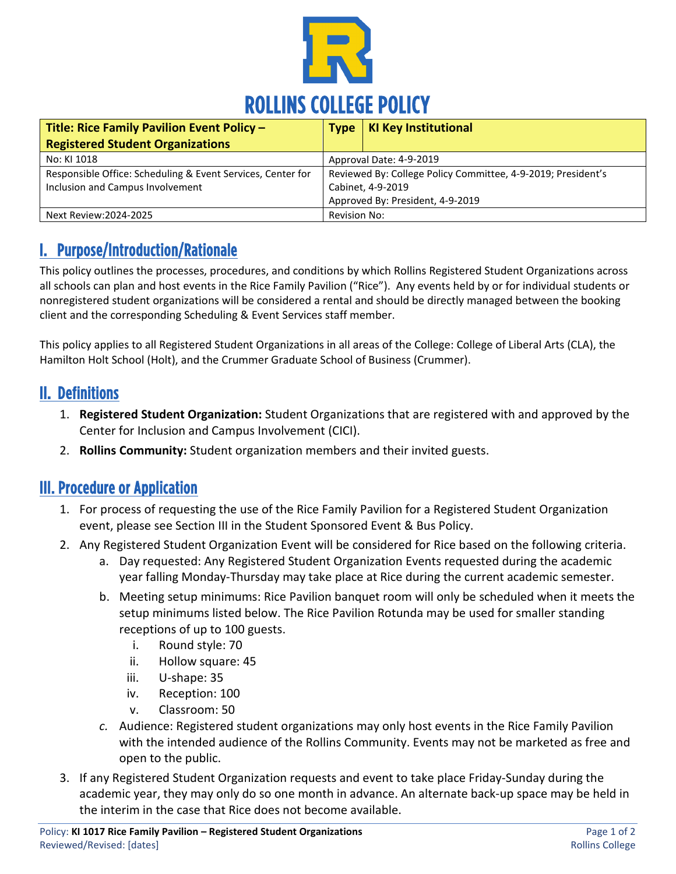

| Title: Rice Family Pavilion Event Policy -                  | <b>Type</b>                                                  | KI Key Institutional |
|-------------------------------------------------------------|--------------------------------------------------------------|----------------------|
| <b>Registered Student Organizations</b>                     |                                                              |                      |
| No: KI 1018                                                 | Approval Date: 4-9-2019                                      |                      |
| Responsible Office: Scheduling & Event Services, Center for | Reviewed By: College Policy Committee, 4-9-2019; President's |                      |
| Inclusion and Campus Involvement                            | Cabinet, 4-9-2019                                            |                      |
|                                                             | Approved By: President, 4-9-2019                             |                      |
| Next Review: 2024-2025                                      | <b>Revision No:</b>                                          |                      |

## I. Purpose/Introduction/Rationale

This policy outlines the processes, procedures, and conditions by which Rollins Registered Student Organizations across all schools can plan and host events in the Rice Family Pavilion ("Rice"). Any events held by or for individual students or nonregistered student organizations will be considered a rental and should be directly managed between the booking client and the corresponding Scheduling & Event Services staff member.

This policy applies to all Registered Student Organizations in all areas of the College: College of Liberal Arts (CLA), the Hamilton Holt School (Holt), and the Crummer Graduate School of Business (Crummer).

#### II. Definitions

- 1. **Registered Student Organization:** Student Organizations that are registered with and approved by the Center for Inclusion and Campus Involvement (CICI).
- 2. **Rollins Community:** Student organization members and their invited guests.

#### III. Procedure or Application

- 1. For process of requesting the use of the Rice Family Pavilion for a Registered Student Organization event, please see Section III in the Student Sponsored Event & Bus Policy.
- 2. Any Registered Student Organization Event will be considered for Rice based on the following criteria.
	- a. Day requested: Any Registered Student Organization Events requested during the academic year falling Monday-Thursday may take place at Rice during the current academic semester.
	- b. Meeting setup minimums: Rice Pavilion banquet room will only be scheduled when it meets the setup minimums listed below. The Rice Pavilion Rotunda may be used for smaller standing receptions of up to 100 guests.
		- i. Round style: 70
		- ii. Hollow square: 45
		- iii. U-shape: 35
		- iv. Reception: 100
		- v. Classroom: 50
	- *c.* Audience: Registered student organizations may only host events in the Rice Family Pavilion with the intended audience of the Rollins Community. Events may not be marketed as free and open to the public.
- 3. If any Registered Student Organization requests and event to take place Friday-Sunday during the academic year, they may only do so one month in advance. An alternate back-up space may be held in the interim in the case that Rice does not become available.